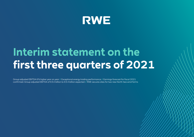

# **Interim statement on the first three quarters of 2021**

Group adjusted EBITDA 6 % higher year on year // Exceptional energy trading performance // Earnings forecast for fiscal 2021 confirmed: Group adjusted EBITDA of €3.0 billion to €3.4 billion expected // RWE secures sites for two new North Sea wind farms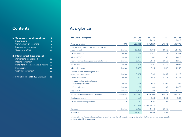# **Contents**

| 1 | <b>Combined review of operations</b> | 3  |
|---|--------------------------------------|----|
|   | Major events                         | 3  |
|   | Commentary on reporting              | 5  |
|   | <b>Business performance</b>          | 7  |
|   | Outlook for 2021                     | 17 |
|   |                                      |    |
| 2 | Interim consolidated financial       |    |
|   | statements (condensed)               | 18 |
|   | Income statement                     | 18 |
|   | Statement of comprehensive income    | 19 |
|   | Balance sheet                        | 20 |
|   | Cash flow statement                  | 22 |
|   |                                      |    |
|   | Financial calendar 2021 / 2022       | 23 |

# At a glance

Î.

| RWE Group - key figures <sup>1</sup>                             |                    | Jan - Sep<br>2021 | Jan - Sep<br>2020 | $+/-$    | $Jan - Dec$<br>2020 |
|------------------------------------------------------------------|--------------------|-------------------|-------------------|----------|---------------------|
| Power generation                                                 | GWh                | 118,691           | 101,529           | 17,162   | 146,775             |
| External revenue (excluding natural gas tax/<br>electricity tax) | $\epsilon$ million | 13,253            | 9,392             | 3,861    | 13,688              |
| <b>Adjusted EBITDA</b>                                           | $\epsilon$ million | 2,397             | 2,261             | 136      | 3,286               |
| <b>Adjusted EBIT</b>                                             | $\epsilon$ million | 1,339             | 1,182             | 157      | 1,823               |
| Income from continuing operations before tax                     | $\epsilon$ million | 3,459             | 1,948             | 1,511    | 1,265               |
| Net income                                                       | $\epsilon$ million | 2,808             | 1,597             | 1,211    | 1,051               |
| Adjusted net income                                              | $\epsilon$ million | 1,026             | 794               | 232      | 1,257               |
| Cash flows from operating activities<br>of continuing operations | $\epsilon$ million | 3,421             | 1,768             | 1,653    | 4,125               |
| Capital expenditure                                              | $\epsilon$ million | 2,800             | 1,662             | 1,138    | 3,358               |
| Property, plant and equipment<br>and intangible assets           | $\epsilon$ million | 2,763             | 1,562             | 1,201    | 2,285               |
| <b>Financial assets</b>                                          | $\epsilon$ million | 37                | 100               | $-63$    | 1,073               |
| Free cash flow                                                   | $\epsilon$ million | 1,213             | 427               | 786      | 1,132               |
| Number of shares outstanding (average)                           | thousands          | 676,220           | 624,308           | 51,912   | 637,286             |
| Earnings per share                                               | €                  | 4.15              | 2.56              | 1.59     | 1.65                |
| Adjusted net income per share                                    | €                  | 1.52              | 1.27              | 0.25     | 1.97                |
|                                                                  |                    | 30 Sep 2021       | 31 Dec 2020       |          |                     |
| Net debt                                                         | $\epsilon$ million | 2,866             | 4,432             | $-1,566$ |                     |
| Workforce <sup>2</sup>                                           |                    | 18,902            | 19,498            | $-596$   |                     |

1 Some prior-year figures restated due to a change in the recognition of renewable energy tax benefits in the USA (see commentary on [page 6](#page-5-0)). 2 Converted to full-time positions.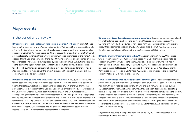**[2](#page-17-0)** [Interim consolidated financial statements](#page-17-0)  [\(condensed\)](#page-17-0)

**[3](#page-22-0)** [Financial calendar 2021 / 2022](#page-22-0)

## <span id="page-2-0"></span>Major events

### In the period under review

**RWE secures two locations for new wind farms in German North Sea.** In an invitation to tender by the German Network Agency in September, RWE placed the winning bid for a site in the North Sea, officially called N-3.7. This allows us to build a wind farm with an installed capacity of 225 MW. We made a zero-cent bid to secure the area, which means that we will sell the electricity generated there without a minimum price guaranteed by the state. N-3.8, a second North Sea area earmarked for a 433 MW wind farm, was also auctioned off in the tender process. The winning bid was placed by French energy group EDF, but it had to pass on the location to a joint venture between Northland Power and RWE. This is because together with our Canadian partner, we had pre-developed the site and therefore had a step-in right. Now we must deliver the project at the conditions in EDF's winning bid; the company submitted a zero-cent bid.

**Partial sale of Texan wind farm West Raymond completed.** In July, our new Texan wind farm West Raymond put its net installed capacity of 240 MW into commercial operation. Shortly thereafter, we sold shares accounting for a total of 75 % of the wind farm. The purchasers were a subsidiary of the Canadian energy utility Algonquin Power & Utilities and the UK investor Greencoat, which acquired stakes of 51 % and 24 %, respectively. A corresponding contract was concluded in December 2020. The agreement also stipulated that Algonquin and Greencoat receive interests of 51 % and 24 % in the Texan onshore wind farms Stella (201 MW), Cranell (220 MW) and East Raymond (200 MW). These transactions were concluded in January 2021. As we retain a shareholding of just 25 % in the wind farms, they are no longer fully consolidated and are accounted for using the equity method instead. However, RWE remains the operator of the wind farms.

**US wind farm Cassadaga starts commercial operation.** This past summer, we completed yet another large-scale onshore wind farm called Cassadaga, which is located in the US state of New York. The 37 turbines have been running commercially since August and account for a combined capacity of 125 MW. Cassadaga is our 29<sup>th</sup> onshore wind farm in the USA. Our capital expenditure on the project exceeded US\$200 million.

**RWE sells small hydropower plants to KELAG.** Austrian energy utility KELAG acquired twelve French and seven Portuguese hydro assets from us, which have a total installed capacity of 62 MW (RWE's pro-rata share). We also sold a number of wind turbines in Portugal with a combined capacity of 3 MW to KELAG. A corresponding agreement was reached at the end of last year. We transferred the French plants in April 2021, and the Portuguese assets followed in September. KELAG is a leading hydropower producer. We currently hold a 37.9 % stake in the company.

**Frimmersdorf lignite-fired power station shut down for good.** The Frimmersdorf lignite power plant in Grevenbroich (near Cologne) has been shut down for good. The last two units P and Q, with a net installed capacity of 284 MW and 278 MW, were on stand-by until 30 September this year. As of 1 October 2017, they had been designated as operating reserve for a period of four years, during which they were unable to participate in the market, as their capacity had to remain available to ensure security of supply when necessary. This obligation has since expired. The approximately 30 affected employees now work for the adjacent Neurath power station or have retired. Three of RWE's lignite blocks are still on security stand-by: Niederaussem E and F (until 30 September 2022) as well as Neurath C (until 30 September 2023).

Major events occurring in the period from January to July 2021 were presented in the interim report on the first half of 2021.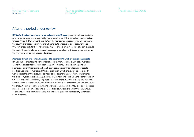**[1](#page-2-0)** [Combined review of operations](#page-2-0) Major events

**[2](#page-17-0)** [Interim consolidated financial statements](#page-17-0)  [\(condensed\)](#page-17-0)

**[3](#page-22-0)** [Financial calendar 2021 / 2022](#page-22-0)

## After the period under review

**RWE sets the stage to expand renewable energy in Greece.** In early October, we set up a joint venture with energy group Public Power Corporation (PPC) to realise solar projects in Greece. We and PPC own 51 % and 49 % of the new company, respectively. Our partner is the country's largest power utility and will contribute photovoltaic projects with up to 940 MW of capacity to the joint venture. RWE will bring a project pipeline of a similar size to the table. The undertakings are in various stages of development. Based on current plans, the first farms will be commissioned in 2023.

#### **Memorandum of Understanding signed to partner with Shell on hydrogen projects.**

RWE and Shell are stepping up their collaborative efforts to build a European hydrogen economy. Representatives from both companies recently signed a corresponding Memorandum of Understanding (MoU). It envisages us jointly developing projects to produce, use and sell hydrogen. RWE and the British-Dutch energy group are already working together in this area. The companies are partners in consortiums implementing trailblazing hydrogen projects: AquaVentus in Germany and NortH2 in the Netherlands, on which we provide commentary on pages 31 et seq. of the 2020 Annual Report. RWE and Shell intend to take the next step and initiate large-scale projects in the United Kingdom for the production of green hydrogen using offshore wind energy. The MoU also encompasses measures to decarbonise gas and biomass-fired power stations within the RWE Group. To this end, we will explore carbon capture and storage as well as electricity generation using hydrogen.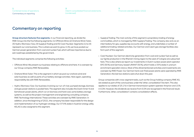## <span id="page-4-0"></span>Commentary on reporting

**Group structure features five segments.** In our financial reporting, we divide the RWE Group into the five following segments: (1) Offshore Wind, (2) Onshore Wind / Solar, (3) Hydro / Biomass / Gas, (4) Supply & Trading and (5) Coal / Nuclear. Segments (1) to (4) represent our core business. This is where we want to grow. In (5), we have pooled our German power generation from coal and nuclear fuel, which will lose importance due to exit roadmaps established by the government.

The individual segments comprise the following activities:

- Offshore Wind: We present our business relating to offshore wind here. It is overseen by our Group company RWE Renewables.
- Onshore Wind / Solar: This is the segment in which we pool our onshore wind and solar business as well as parts of our battery storage activities. Here again, operating responsibility lies with RWE Renewables.
- Hydro / Biomass / Gas: Our business involving our run-of-river, pumped storage, biomass and gas power stations is pooled here. The segment also includes the Dutch Amer 9 and Eemshaven power plants, which run on biomass and hard coal, some battery storage systems, as well as the project management and engineering consulting company RWE Technology International. These activities are overseen by RWE Generation. In addition, since the beginning of 2021, the company has been responsible for the design and implementation of our hydrogen strategy. Our 37.9 % stake in Austrian energy utility KELAG is also assigned to this segment.
- Supply & Trading: The main activity of this segment is proprietary trading of energy commodities, which is managed by RWE Supply & Trading. The company also acts as an intermediary for gas, supplies key accounts with energy, and undertakes a number of additional trading-related activities. Our German and Czech gas storage facilities also form part of this segment.
- Coal / Nuclear: Our German electricity generation from coal and nuclear fuel as well as our lignite production in the Rhenish mining region to the west of Cologne are subsumed here. This is also where we report our investments in Dutch nuclear power plant operator EPZ (30 %) and Germany-based URANIT (50 %), which holds a 33 % stake in uranium enrichment specialist Urenco. Most of the aforementioned activities and investments are overseen by RWE Power. Our German hard coal-fired power plants were operated by RWE Generation; the last two stations were shut down this year.

Group companies with cross-segment tasks, such as the Group holding company RWE AG, are stated as part of the core business under the 'other, consolidation' line item. This also applies to our stakes of 25.1 % in German transmission system operator Amprion and 15 % in E.ON. However, the dividends we receive from E.ON are recognised in the financial result. Furthermore, 'other, consolidation' contains consolidation effects.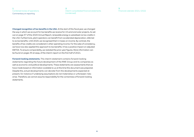#### <span id="page-5-0"></span>**[1](#page-2-0)** [Combined review of operations](#page-2-0) Commentary on reporting

**[2](#page-17-0)** [Interim consolidated financial statements](#page-17-0)  [\(condensed\)](#page-17-0)

**[3](#page-22-0)** [Financial calendar 2021 / 2022](#page-22-0)

**Changed recognition of tax benefits in the USA.** At the start of this fiscal year, we changed the way in which we account for tax benefits we receive for US wind and solar projects. As set out on page 37 of the 2020 Annual Report, renewable energy is subsidised via tax credits in the USA. Furthermore, plant operators can benefit from accelerated depreciation, referred to as tax benefits. Until 2020, we recognised them in taxes on income. By contrast, the benefits of tax credits are considered in other operating income. For the sake of consistency, we have now also applied this approach to tax benefits. It has a positive impact on adjusted EBITDA. To ensure comparability, we restated the prior-year figures. More information can be found on pages 35 et seqq. of the interim report on the first half of 2021.

**Forward-looking statements.** This interim statement contains forward-looking statements regarding the future development of the RWE Group and its companies as well as economic and political developments. These statements are assessments that we have made based on information available to us at the time this document was prepared. Despite this, actual developments can deviate from the developments expected at present, for instance if underlying assumptions do not materialise or unforeseen risks arise. Therefore, we cannot assume responsibility for the correctness of forward-looking statements.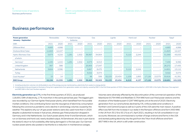## <span id="page-6-0"></span>Business performance

| <b>Power generation</b><br><b>January - September</b> |        | <b>Renewables</b>        |       | Pumped storage,<br>batteries |        | Gas                      |        | Lignite                  |       | Hard coal                |        | <b>Nuclear</b>           |         | Total <sup>1</sup> |
|-------------------------------------------------------|--------|--------------------------|-------|------------------------------|--------|--------------------------|--------|--------------------------|-------|--------------------------|--------|--------------------------|---------|--------------------|
| <b>GWh</b>                                            | 2021   | 2020                     | 2021  | 2020                         | 2021   | 2020                     | 2021   | 2020                     | 2021  | 2020                     | 2021   | 2020                     | 2021    | 2020               |
| Offshore Wind                                         | 4,683  | 4,998                    |       | $\overline{\phantom{a}}$     |        |                          |        | -                        |       | <b>-</b>                 |        | $\overline{\phantom{a}}$ | 4,683   | 4,998              |
| Onshore Wind/Solar                                    | 11,823 | 12,107                   |       | $\overline{\phantom{a}}$     |        | $\overline{\phantom{0}}$ |        | -                        |       | $\overline{\phantom{a}}$ |        | $\overline{\phantom{a}}$ | 11,823  | 12,107             |
| Hydro / Biomass / Gas                                 | 5,673  | 4,216                    | 1,291 | 1,502                        | 39,367 | 34,904                   |        | -                        | 5,110 | 2,244                    |        | $\overline{\phantom{a}}$ | 51,569  | 43,033             |
| of which:                                             |        |                          |       |                              |        |                          |        |                          |       |                          |        |                          |         |                    |
| Germany <sup>2</sup>                                  | 1,445  | 1,415                    | 1,291 | 1,502                        | 4,573  | 6,313                    |        | -                        |       | <b>-</b>                 |        | $\overline{\phantom{a}}$ | 7,439   | 9,396              |
| United Kingdom                                        | 367    | 388                      |       | $\overline{\phantom{a}}$     | 25,905 | 17,047                   |        | $\overline{\phantom{a}}$ |       | -                        |        | $\overline{\phantom{a}}$ | 26,272  | 17,435             |
| <b>Netherlands</b>                                    | 3,824  | 2,396                    |       | $\overline{\phantom{a}}$     | 5,867  | 8,470                    |        | -                        | 5,110 | 2,244                    |        | $\overline{\phantom{a}}$ | 14,801  | 13,110             |
| Turkey                                                |        | $\overline{\phantom{a}}$ |       | $\overline{\phantom{a}}$     | 3,022  | 3,074                    |        | -                        |       | $\overline{\phantom{a}}$ |        | $\overline{\phantom{a}}$ | 3,022   | 3,074              |
| Coal/Nuclear <sup>2</sup>                             | 15     | 14                       |       | $\overline{\phantom{a}}$     | 96     | 599                      | 32,133 | 23,434                   | 1,109 | 1,893                    | 17,126 | 15,579                   | 50,616  | 41,391             |
| <b>RWE Group</b>                                      | 22,194 | 21,335                   | 1,291 | 1,502                        | 39,463 | 35,503                   | 32,133 | 23,434                   | 6,219 | 4,137                    | 17,126 | 15,579                   | 118,691 | 101,529            |

1 Including production volumes not attributable to any of the energy sources mentioned (e. g. electricity from waste-to-energy plants).

2 Including electricity purchased on the basis of long-term gareements from generation assets not majority-owned by RWE. In the first three guarters of 2021, these purchases amounted to 1.409 GWh in the Hydro / Biomass / G and 980 GWh in the Coal / Nuclear segment.

**Electricity generation up 17 %.** In the first three quarters of 2021, we produced 118,691 GWh of electricity, 17 % more than in the same period last year. The biggest gain was recorded by our German lignite-fired power plants, which benefited from favourable market conditions. One contributing factor was the resurgence of electricity consumption following the coronavirus pandemic and a decline in wind energy volumes caused by the weather. This explains why our UK gas power stations were also used more than in 2020 despite a substantial increase in fuel prices, whereas gas-fired production dropped in Germany and in the Netherlands. Our Dutch power plants Amer 9 and Eemshaven, which run on biomass and hard coal, nearly doubled output. At Eemshaven, this was in part due to the station's return to full availability after being damaged in a fire last year. Our German nuclear power plants also posted a rise thanks to a reduction in maintenance outages.

Volumes were adversely affected by the discontinuation of the commercial operation of the Ibbenbüren B (794 MW) and Westfalen E (764 MW) hard coal-fired power stations and the shutdown of the Niederaussem D (297 MW) lignite unit at the end of 2020. Electricity generation from our wind turbines declined by 5 %. Unfavourable wind conditions in Northern and Central Europe as well as in parts of the USA were the main reason. A positive effect was felt from the increase in our stake in the Rampion offshore wind farm (400 MW) in the UK from 30.1 % to 50.1 % as of 1 April 2021, resulting in its full consolidation in our accounts. Moreover, we commissioned a number of large onshore wind farms in the USA and started putting electricity into the grid from the Triton Knoll offshore wind farm (857 MW) in the UK, which is still under construction.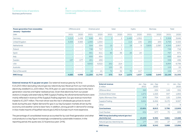#### **[2](#page-17-0)** [Interim consolidated financial statements](#page-17-0)  [\(condensed\)](#page-17-0)

**[3](#page-22-0)** [Financial calendar 2021 / 2022](#page-22-0)

<span id="page-7-0"></span>

| <b>Power generation from renewables</b><br><b>January - September</b> | Offshore wind |                          |        | Onshore wind             |                | Solar                    | Hydro |                          |       | <b>Biomass</b>           | <b>Total</b> |        |
|-----------------------------------------------------------------------|---------------|--------------------------|--------|--------------------------|----------------|--------------------------|-------|--------------------------|-------|--------------------------|--------------|--------|
| GWh                                                                   | 2021          | 2020                     | 2021   | 2020                     | 2021           | 2020                     | 2021  | 2020                     | 2021  | 2020                     | 2021         | 2020   |
| Germany                                                               | 1,213         | 1,438                    | 646    | 851                      | $\overline{2}$ | $\overline{2}$           | 1,445 | 1,352                    |       | $\overline{3}$           | 3,306        | 3,646  |
| United Kingdom                                                        | 3,333         | 3,383                    | 1,093  | 1,554                    |                | $\overline{\phantom{a}}$ | 114   | 135                      | 253   | 253                      | 4,793        | 5,325  |
| <b>Netherlands</b>                                                    |               | $\overline{\phantom{0}}$ | 504    | 554                      | 15             | $\overline{7}$           | 19    | 9                        | 3,805 | 2,387                    | 4,343        | 2,957  |
| Poland                                                                |               | -                        | 748    | 717                      |                |                          |       | $\overline{\phantom{0}}$ |       | $-$                      | 749          | 718    |
| Spain                                                                 |               | -                        | 661    | 611                      | 80             | 36                       | 26    | 24                       |       | $\overline{\phantom{m}}$ | 767          | 671    |
| Italy                                                                 |               | -                        | 693    | 654                      |                | $\overline{\phantom{a}}$ |       | $\overline{\phantom{a}}$ |       | $\overline{\phantom{a}}$ | 693          | 654    |
| Sweden                                                                | 137           | 177                      | 201    | 259                      |                | $\overline{\phantom{m}}$ |       | $\overline{\phantom{a}}$ |       | $-$                      | 338          | 436    |
| <b>USA</b>                                                            |               | $\overline{\phantom{m}}$ | 6,642  | 6,522                    | 252            | 214                      |       | $\overline{\phantom{a}}$ |       | $\overline{\phantom{a}}$ | 6,894        | 6,736  |
| Australia                                                             |               | $\overline{\phantom{a}}$ |        | $\overline{\phantom{a}}$ | 153            | 22                       |       | $\overline{\phantom{0}}$ |       | $\overline{\phantom{a}}$ | 153          | 22     |
| Rest of the world                                                     |               | $\overline{\phantom{0}}$ | 16     | 21                       | 72             | 32                       | 70    | 117                      |       | $\overline{\phantom{a}}$ | 158          | 170    |
| <b>RWE Group</b>                                                      | 4,683         | 4,998                    | 11,204 | 11,743                   | 575            | 314                      | 1,674 | 1,637                    | 4,058 | 2,643                    | 22,194       | 21,335 |

**External revenue 41 % up year on year.** Our external revenue grew by 41 % to €13,253 million (excluding natural gas tax / electricity tax). Revenue from our main product, electricity, totalled €11,103 million. This 35 % year-on-year increase was due to the rise in generation volumes and higher realised prices. Given that electricity from our power stations is largely sold externally by RWE Supply & Trading, the aforementioned factors were mainly reflected in revenue of the Supply & Trading segment. Our gas revenue more than tripled to €1,007 million. The main driver was the rise in wholesale gas prices to record levels during the year. Higher demand for gas in our key European markets driven by the economy and weather came to bear here. In addition, strong growth in demand for energy in Asia made imports of liquefied natural gas (LNG) to Europe much more expensive.

The percentage of consolidated revenue accounted for by coal-fired generation and other coal products is a key figure increasingly considered by sustainable investors. In the reporting period, this quota was 21 % (previous year: 24 %).

| <b>External revenue</b><br>$\epsilon$ million             | Jan - Sep<br>2021 | $Jan - Sep$<br>2020 | $+/-$ | $Jan - Dec$<br>2020 |
|-----------------------------------------------------------|-------------------|---------------------|-------|---------------------|
| Offshore Wind                                             | 383               | 234                 | 149   | 332                 |
| Onshore Wind/Solar                                        | 1,672             | 1,325               | 347   | 1,855               |
| Hydro / Biomass / Gas                                     | 879               | 754                 | 125   | 1,056               |
| Supply & Trading                                          | 9,664             | 6,494               | 3,170 | 9,597               |
| Other                                                     | 3                 | 8                   | $-5$  | 9                   |
| <b>Core business</b>                                      | 12,601            | 8,815               | 3,786 | 12,849              |
| Coal/Nuclear                                              | 652               | 577                 | 75    | 839                 |
| RWE Group (excluding natural gas tax/<br>electricity tax) | 13,253            | 9,392               | 3,861 | 13,688              |
| Natural gas tax/electricity tax                           | 177               | 150                 | 27    | 208                 |
| <b>RWE Group</b>                                          | 13,430            | 9,542               | 3,888 | 13,896              |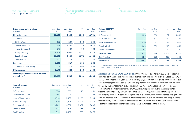#### **[2](#page-17-0)** [Interim consolidated financial statements](#page-17-0)  [\(condensed\)](#page-17-0)

#### **[3](#page-22-0)** [Financial calendar 2021 / 2022](#page-22-0)

| <b>External revenue by product</b><br>$\epsilon$ million | $Jan - Sep$<br>2021 | Jan - Sep<br>2020 | $+/-$    | $Jan - Dec$<br>2020 |
|----------------------------------------------------------|---------------------|-------------------|----------|---------------------|
| <b>Electricity revenue</b>                               | 11,103              | 8,195             | 2,908    | 11,701              |
| of which:                                                |                     |                   |          |                     |
| Offshore Wind                                            | 382                 | 234               | 148      | 332                 |
| Onshore Wind / Solar                                     | 1,538               | 1,222             | 316      | 1,676               |
| Hydro / Biomass / Gas                                    | 577                 | 484               | 93       | 684                 |
| Supply & Trading                                         | 8,405               | 6,084             | 2,321    | 8,775               |
| <b>Core business</b>                                     | 10,902              | 8,024             | 2,878    | 11,468              |
| Coal/Nuclear                                             | 201                 | 171               | 30       | 233                 |
| <b>Gas revenue</b>                                       | 1,007               | 317               | 690      | 534                 |
| of which: Supply & Trading                               | 1,006               | 313               | 693      | 529                 |
| <b>Other revenue</b>                                     | 1,143               | 880               | 263      | 1,453               |
| <b>RWE Group (excluding natural gas tax/</b>             |                     |                   |          |                     |
| electricity tax)                                         | 13,253              | 9,392             | 3,861    | 13,688              |
|                                                          |                     |                   |          |                     |
| <b>Internal revenue</b><br>$\epsilon$ million            | Jan - Sep<br>2021   | Jan - Sep<br>2020 | $+/-$    | $Jan - Dec$<br>2020 |
| Offshore Wind                                            | 538                 | 683               | $-145$   | 959                 |
| Onshore Wind/Solar                                       | 186                 | 206               | $-20$    | 304                 |
| Hydro / Biomass / Gas                                    | 3,310               | 2,187             | 1,123    | 3,144               |
| Supply & Trading                                         | 3,429               | 2,105             | 1,324    | 2,778               |
| Other, consolidation                                     | $-6.789$            | $-4,852$          | $-1,937$ | $-6,803$            |
| <b>Core business</b>                                     | 674                 | 329               | 345      | 382                 |
| Coal/Nuclear                                             | 2,910               | 2,135             | 775      | 3,075               |

| <b>Adjusted EBITDA1</b><br>$\epsilon$ million | $Jan - Sep$<br>2021 | $Jan - Sep$<br>2020 | $+/-$  | $Jan - Dec$<br>2020 |
|-----------------------------------------------|---------------------|---------------------|--------|---------------------|
| Offshore Wind                                 | 656                 | 738                 | $-82$  | 1,069               |
| Onshore Wind/Solar                            | 36                  | 373                 | $-337$ | 523                 |
| Hydro / Biomass / Gas                         | 430                 | 382                 | 48     | 621                 |
| Supply & Trading                              | 609                 | 399                 | 210    | 539                 |
| Other, consolidation                          | $-54$               | $-12$               | $-42$  | $-25$               |
| <b>Core business</b>                          | 1,677               | 1,880               | $-203$ | 2,727               |
| Coal/Nuclear                                  | 720                 | 381                 | 339    | 559                 |
| <b>RWE Group</b>                              | 2,397               | 2.261               | 136    | 3.286               |

1 Some prior-year figures restated due to a change in the recognition of renewable energy tax benefits in the USA (see commentary on [page 6](#page-5-0)).

Adjusted EBITDA up 6<sup>%</sup> to €2.4 billion. In the first three quarters of 2021, we registered adjusted earnings before income taxes, depreciation and amortisation (adjusted EBITDA) of €2,397 million (previous year: €2,261 million). €1,677 million of this was attributable to our core business (previous year: €1,880 million) with the remaining €720 million coming from the Coal / Nuclear segment (previous year: €381 million). Adjusted EBITDA rose by 6 % compared to the first nine months of 2020. This was primarily due to the exceptional trading performance by RWE Supply & Trading. Moreover, we benefited from improved margins in power production from lignite and nuclear fuel. This was contrasted by significant one-off charges in the Onshore Wind / Solar segment due to an extreme cold snap in Texas this February, which resulted in unscheduled plant outages and forced us to fulfil existing electricity supply obligations through expensive purchases on the market.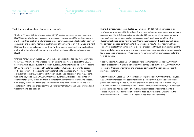#### **[3](#page-22-0)** [Financial calendar 2021 / 2022](#page-22-0)

The following is a breakdown of earnings by segment:

- Offshore Wind: At €656 million, adjusted EBITDA posted here was markedly down on 2020 (€738 million) mainly because wind speeds in Northern and Central Europe were much lower than the high level witnessed a year before. A positive effect was felt from our acquisition of a majority interest in the Rampion offshore wind farm in the UK as of 1 April 2021 and its full consolidation since then. Furthermore, we benefited from the first feedins from the Triton Knoll offshore wind farm, which is scheduled for completion in early 2022.
- Onshore Wind / Solar: Adjusted EBITDA in this segment declined to €36 million (previous year: €373 million). The main reason was an extreme cold front in parts of the USA in February, which caused substantial supply outages. Winter storms and sleet forced some RWE wind farms in Texas to go offline for several days. We had sold forward a portion of the generation of these assets and therefore had to buy electricity in order to meet our supply obligations. Due to the tight supply situation and statutory price regulations, we had to pay up to US\$9,000/MWh for these purchases. This reduced earnings by approximately €400 million. Further burdens stemmed from lower overall wind speeds. Conversely, we benefited from the commissioning of new generation assets and the capital gain on the sale of stakes in the US wind farms Stella, Cranell, East Raymond and West Raymond [\(see page 3\)](#page-2-0).
- Hydro / Biomass / Gas: Here, adjusted EBITDA totalled €430 million, surpassing last year's comparable figure (€382 million). Two driving factors were increased payments we received from the British capacity market and additional income from the commercial optimisation of power plant deployment. A counteracting effect was felt from the divestment of wood pellet manufacturer Georgia Biomass in mid-2020, at which point the company stopped contributing to the Group's earnings. Another negative effect came from the fact that earnings from electricity produced through biomass firing in the Netherlands fluctuate during the year due to the subsidy scheme and were thus unusually low in the period under review. We anticipate higher income from biomass usage for the year as a whole.
- Supply & Trading: Adjusted EBITDA posted by this segment amounted to €609 million, clearly exceeding the high level achieved in the same period last year (€399 million). Our exceptional trading performance and improved earnings in the gas business were the main reasons for this.
- Coal / Nuclear: Adjusted EBITDA recorded here improved to €720 million (previous year: €381 million). Increased wholesale margins on electricity from our lignite and nuclear power stations compared to 2020 were the main driver. We had sold forward nearly all of the generation of these assets in earlier years. The improved availability of our nuclear power plants also had a positive effect. This was contrasted by earnings shortfalls caused by unscheduled outages at our lignite-fired power stations. Furthermore, the implementation of the German Coal Phaseout Act weighed on earnings.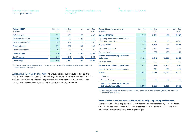#### **[2](#page-17-0)** [Interim consolidated financial statements](#page-17-0)  [\(condensed\)](#page-17-0)

#### **[3](#page-22-0)** [Financial calendar 2021 / 2022](#page-22-0)

| <b>Adjusted EBIT1</b><br>$\epsilon$ million | $Jan - Sep$<br>2021 | $Jan - Sep$<br>2020 | $+/-$  | $Jan - Dec$<br>2020 |
|---------------------------------------------|---------------------|---------------------|--------|---------------------|
| Offshore Wind                               | 325                 | 461                 | $-136$ | 697                 |
| Onshore Wind / Solar                        | $-258$              | 87                  | $-345$ | 138                 |
| Hydro / Biomass / Gas                       | 202                 | 134                 | 68     | 283                 |
| Supply & Trading                            | 574                 | 367                 | 207    | 496                 |
| Other, consolidation                        | $-53$               | $-13$               | $-40$  | $-25$               |
| <b>Core business</b>                        | 790                 | 1.036               | $-246$ | 1,589               |
| Coal/Nuclear                                | 549                 | 146                 | 403    | 234                 |
| <b>RWE Group</b>                            | 1.339               | 1.182               | 157    | 1.823               |

1 Some prior-year figures restated due to a change in the recognition of renewable energy tax benefits in the USA (see commentary on [page 6\)](#page-5-0).

**Adjusted EBIT 13 % up on prior year.** The Group's adjusted EBIT advanced by 13 % to €1,339 million (previous year: €1,182 million). This figure differs from adjusted EBITDA in that it does not include operating depreciation and amortisation, which amounted to €1,058 million in the period under review (previous year: €1,079 million).

| Reconciliation to net income <sup>1</sup><br>$\epsilon$ million | Jan - Sep<br>2021 | Jan - Sep<br>2020 | $+/-$  | $Jan - Dec$<br>2020 |
|-----------------------------------------------------------------|-------------------|-------------------|--------|---------------------|
| <b>Adjusted EBITDA</b>                                          | 2,397             | 2,261             | 136    | 3,286               |
| Operating depreciation, amortisation<br>and impairment losses   | $-1,058$          | $-1,079$          | 21     | $-1.463$            |
| <b>Adjusted EBIT</b>                                            | 1,339             | 1,182             | 157    | 1,823               |
| Non-operating result                                            | 2,050             | 1,161             | 889    | $-104$              |
| <b>Financial result</b>                                         | 70                | $-395$            | 465    | $-454$              |
| <b>Income from continuing operations</b>                        |                   |                   |        |                     |
| before tax                                                      | 3,459             | 1,948             | 1,511  | 1,265               |
| Taxes on income                                                 | $-632$            | $-524$            | $-108$ | $-376$              |
| <b>Income from continuing operations</b>                        | 2,827             | 1,424             | 1,403  | 889                 |
| Income from discontinued operations                             |                   | 221               | $-221$ | 221                 |
| <b>Income</b>                                                   | 2,827             | 1,645             | 1,182  | 1,110               |
| of which:                                                       |                   |                   |        |                     |
| Non-controlling interests                                       | 19                | 48                | $-29$  | 59                  |
| Net income / income attributable                                |                   |                   |        |                     |
| to RWE AG shareholders                                          | 2.808             | 1.597             | 1.211  | 1.051               |

1 Some prior-year figures restated due to a change in the recognition of renewable energy tax benefits in the USA (see commentary on [page 6](#page-5-0)).

#### **Reconciliation to net income: exceptional effects eclipse operating performance.**

The reconciliation from adjusted EBIT to net income was characterised by one-off effects, which had a positive net impact. We have presented the development of the items in the reconciliation statement in the following passages.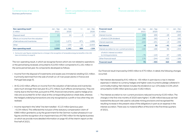#### **[2](#page-17-0)** [Interim consolidated financial statements](#page-17-0)  [\(condensed\)](#page-17-0)

#### **[3](#page-22-0)** [Financial calendar 2021 / 2022](#page-22-0)

| Non-operating result <sup>1</sup><br>$\epsilon$ million                | Jan – Sep<br>2021 | Jan – Sep<br>2020 | $+/-$            | $Jan - Dec$<br>2020 |
|------------------------------------------------------------------------|-------------------|-------------------|------------------|---------------------|
| Disposal result                                                        | 21                | 24                | $-3\overline{5}$ | 13                  |
| Effects on income from the valuation<br>of derivatives and inventories | 2.142             | 1.271             | 871              | 1.886               |
| Other                                                                  | $-113$            | $-134$            | 21               | $-2.003$            |
| <b>Non-operating result</b>                                            | 2.050             | 1.161             | 889              | $-104$              |

1 Some prior-year figures restated due to a change in the recognition of renewable energy tax benefits in the USA (see commentary on [page 6\)](#page-5-0).

The non-operating result, in which we recognise factors which are not related to operations or the period being reviewed, amounted to €2,050 million compared to €1,161 million in the same period last year. Its components developed as follows:

- Income from the disposal of investments and assets was immaterial, totalling €21 million. It primarily stemmed from the sale of small run-of-river power plants in France and Portugal ([see page 3](#page-2-0)).
- At €2,142 million, effects on income from the valuation of derivatives and inventories were much stronger than last year (€1,271 million). Such effects are temporary. They are mainly due to the fact that, pursuant to IFRS, financial instruments used to hedge price risks are accounted for at fair value at the corresponding balance-sheet date, whereas the hedged underlying transactions are only recognised as a profit or loss when they are realised.
- Income reported in the 'other' line item totalled  $-\epsilon$  113 million (previous year: – €134 million). This reflected the inclusion of the statutory compensation claim of €880 million granted to us by the government for the German nuclear phaseout in our figures and the recognition of an impairment loss of €780 million for the lignite business on which we provide more detailed information on page 40 of the interim report on the first half of 2021.

| <b>Financial result</b><br>$\epsilon$ million        | $Jan - Sep$<br>2021 | $Jan - Sep$<br>2020 | $+/-$          | $Jan - Dec$<br>2020 |
|------------------------------------------------------|---------------------|---------------------|----------------|---------------------|
| Interest income                                      | 238                 | 266                 | $-28$          | 283                 |
| of which: E.ON dividend                              | 186                 | 182                 | $\overline{4}$ | 182                 |
| Interest expenses                                    | $-244$              | $-231$              | $-13$          | $-296$              |
| <b>Net interest</b>                                  | -6                  | 35                  | $-41$          | $-13$               |
| Interest accretion to non-current provisions         | $-100$              | $-186$              | 86             | $-255$              |
| of which: interest accretion<br>to mining provisions | $-76$               | $-143$              | 67             | $-186$              |
| Other financial result                               | 176                 | $-244$              | 420            | $-186$              |
| <b>Financial result</b>                              | 70                  | -395                | 465            | $-454$              |

Our financial result improved by €465 million to €70 million. In detail, the following changes occurred:

- Net interest decreased by €41 million to – €6 million in part due to a rise in interest expenses in relation to currency hedges and higher costs incurred to pledge collateral in commodity trading. Net interest includes the dividend on our 15 % stake in E.ON, which amounted to €186 million (previous year: €182 million).
- The interest accretion to non-current provisions reduced income by €100 million. The charges in the first nine months of 2020 were higher (– €186 million) because we had lowered the discount rate used to calculate mining provisions and recognised the resulting increase in the present value of the obligations in part as an expense in the interest accretion. There was no material effect of this kind in the first three quarters of 2021.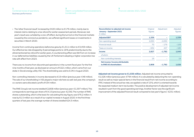#### **[2](#page-17-0)** [Interim consolidated financial statements](#page-17-0)  [\(condensed\)](#page-17-0)

#### **[3](#page-22-0)** [Financial calendar 2021 / 2022](#page-22-0)

• The 'other financial result' increased by €420 million to €176 million, mainly due to interest claims relating to a tax refund for earlier assessment periods. Moreover, last year's result was curtailed by a one-off effect: during the turmoil on the financial markets caused by the coronavirus pandemic, we suffered significant losses on investments in securities in March 2020.

Income from continuing operations before tax grew by  $\epsilon$ 1,511 million to  $\epsilon$ 3,459 million. Our effective tax rate dropped by 9 percentage points to 18 % predominantly due to the aforementioned tax refund for earlier years. A counteracting effect was felt from an increase in our deferred tax liabilities caused by the UK Parliament adopting a higher corporation tax rate with effect from 2023.

There was no income from discontinued operations in the current fiscal year. For the first nine months of last year, we disclosed an amount of €221 million, which came from our stake in Slovak energy utility VSE. The shareholding was sold to E.ON in August 2020.

Non-controlling interests in income decreased to €19 million (previous year: €48 million). The sale of our shareholding in VSE played a major role here as well: last year, the company's co-owners were allocated a profit of €34 million.

The RWE Group's net income totalled €2,808 million (previous year: €1,597 million). This corresponds to earnings per share of €4.15 (previous year: €2.56). The number of RWE shares outstanding, which is the basis for calculating this key figure, was 676.2 million. It rose by 61.5 million as a result of our capital increase in August 2020. In the first three quarters of last year, the average number of shares totalled 624.3 million.

| <b>Reconciliation to adjusted net income</b><br>January - September 2021<br>$\epsilon$ million | Original<br>figures | Adjustment | Adjusted<br>figures |
|------------------------------------------------------------------------------------------------|---------------------|------------|---------------------|
| <b>Adjusted EBIT</b>                                                                           | 1,339               |            | 1,339               |
| Non-operating result                                                                           | 2,050               | $-2,050$   |                     |
| <b>Financial result</b>                                                                        | 70                  | $-179$     | $-109$              |
| Taxes on income                                                                                | $-632$              | 447        | $-185$              |
| <b>Income</b>                                                                                  | 2,827               | -1,782     | 1,045               |
| of which:                                                                                      |                     |            |                     |
| Non-controlling interests                                                                      | 19                  |            | 19                  |
| Net income/income attributable                                                                 |                     |            |                     |
| to RWE AG shareholders                                                                         | 2,808               | $-1,782$   | 1.026               |

**Adjusted net income grows to €1,026 million.** Adjusted net income amounted to €1,026 million (previous year: €794 million). It is calculated by deducting the non-operating result as well as major special items in the financial result from net income according to IFRS. Instead of the actual tax rate, we applied a rate of 15 %, which is oriented towards the expected medium-term tax burden. The positive development of adjusted net income resulted in part from the good operating earnings. Another factor was the significant improvement of the adjusted financial result compared to last year's figure (– €231 million).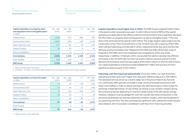| Interim consolidated financial statements |
|-------------------------------------------|
| (condensed)                               |

#### **[3](#page-22-0)** [Financial calendar 2021 / 2022](#page-22-0)

| Capital expenditure on property, plant<br>and equipment and on intangible assets <sup>1</sup><br>$\epsilon$ million | $Jan - Sep$<br>2021 | $Jan - Sep$<br>2020 | $+/-$ | $Jan - Dec$<br>2020 |
|---------------------------------------------------------------------------------------------------------------------|---------------------|---------------------|-------|---------------------|
| Offshore Wind                                                                                                       | 1,459               | 473                 | 986   | 756                 |
| Onshore Wind / Solar                                                                                                | 1.003               | 845                 | 158   | 1,154               |
| Hydro / Biomass / Gas                                                                                               | 137                 | 95                  | 42    | 153                 |
| Supply & Trading                                                                                                    | 29                  | 32                  | $-3$  | 43                  |
| Other, consolidation                                                                                                |                     | $-1$                | 1     |                     |
| <b>Core business</b>                                                                                                | 2,628               | 1,444               | 1,184 | 2,106               |
| Coal/Nuclear                                                                                                        | 135                 | 118                 | 17    | 183                 |
| <b>RWE Group</b>                                                                                                    | 2,763               | 1.562               | 1.201 | 2.285 <sup>2</sup>  |

1 Table only shows cash investments.

2 Including  $a - \epsilon$ 4 million consolidation effect between the core business and the Coal / Nuclear segment.

| Capital expenditure on financial assets $1$<br>$\epsilon$ million | $Jan - Sep$<br>2021 | $Jan - Sep$<br>2020 | $+/-$          | $Jan - Dec$<br>2020 |
|-------------------------------------------------------------------|---------------------|---------------------|----------------|---------------------|
| Offshore Wind                                                     | $-2$                | 34                  | $-36$          | 520                 |
| Onshore Wind / Solar                                              | 14                  | 24                  | $-10$          | 408                 |
| Hydro / Biomass / Gas                                             | 6                   | 115                 | $-109$         | 115                 |
| Supply & Trading                                                  | 19                  | 15                  | $\overline{4}$ | 18                  |
| Other, consolidation                                              |                     | $-90$               | 90             | 11                  |
| <b>Core business</b>                                              | 37                  | 98                  | $-61$          | 1,072               |
| Coal/Nuclear                                                      |                     | $\overline{2}$      | $-2$           |                     |
| <b>RWE Group</b>                                                  | 37                  | 100                 | $-63$          | 1.073               |

1 Table only shows cash investments.

**Capital expenditure much higher than in 2020.** The RWE Group invested €2,800 million in the period under review (previous year: €1,662 million). A total of 88 % of this capital spending was dedicated to the Offshore Wind and Onshore Wind / Solar segments. We spent €2,763 million on property, plant and equipment as well as intangible assets, 77 % more than in the same period last year (€1,562 million). The single-largest capex project was the construction of the Triton Knoll wind farm in the UK North Sea with a capacity of 857 MW, which will start operating commercially in 2022. Substantial funds also went into the new offshore wind farms Kaskasi near Heligoland (342 MW) and Sofia off the east coast of England (1,400 MW), which are scheduled to be completed by 2022 and 2026, respectively. In addition, in February 2021, we secured the rights to develop new offshore wind areas in the UK North Sea, for which we had to make an advance payment to the relevant administrative authority (see page 8 of the interim report on the first half of 2021). Our capital expenditure on financial assets totalled  $\epsilon$ 37 million and was thus of minor significance (previous year: €100 million).

**Operating cash flow improved substantially.** At €3,421 million, our cash flows from operating activities were much higher than last year's reference figure (€1,768 million). This development was driven by a recent steep rise in the price of electricity, fuel and  $CO<sub>2</sub>$  certificates. RWE typically concludes a large volume of forward transactions with these commodities in order to reduce earnings risks. We have to pay an initial margin for exchange-traded derivatives. On top of that, we receive or pay variation margins during the contractual period, depending on how the market values of the derivatives change. However, collateral must be pledged for over-the-counter derivative transactions. In the period being reviewed, we received substantial variation margins, which are recognised in our operating cash flow. This was contrasted by significant cash outflows for initial margins and collateral, which have been considered in cash flows from financing activities.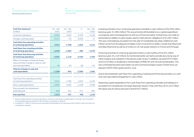#### **[2](#page-17-0)** [Interim consolidated financial statements](#page-17-0)  [\(condensed\)](#page-17-0)

#### **[3](#page-22-0)** [Financial calendar 2021 / 2022](#page-22-0)

| Cash flow statement <sup>1</sup><br>$\epsilon$ million                                                     | $Jan - Sep$<br>2021 | $Jan - Sep$<br>2020 | $+/-$    | $Jan - Dec$<br>2020 |
|------------------------------------------------------------------------------------------------------------|---------------------|---------------------|----------|---------------------|
| Funds from operations                                                                                      | 6,532               | 1.823               | 4.709    | 4,108               |
| Change in working capital                                                                                  | $-3,111$            | $-55$               | $-3.056$ | 17                  |
| <b>Cash flows from operating activities</b><br>of continuing operations                                    | 3,421               | 1,768               | 1,653    | 4,125               |
| <b>Cash flows from investing activities</b><br>of continuing operations                                    | $-2,446$            | $-1,962$            | $-484$   | $-4,278$            |
| <b>Cash flows from financing activities</b><br>of continuing operations                                    | $-2,201$            | 1,119               | $-3,320$ | 1,769               |
| Effects of changes in foreign exchange<br>rates and other changes in value on cash<br>and cash equivalents | 45                  | $-23$               | 68       | $-34$               |
| Total net changes in cash and<br>cash equivalents                                                          | $-1,181^2$          | 902                 | $-2,083$ | 1.582               |
| Cash flows from operating activities<br>of continuing operations                                           | 3.421               | 1.768               | 1,653    | 4.125               |
| Minus capital expenditure                                                                                  | $-2,800$            | $-1,662$            | $-1,138$ | $-3,358$            |
| Plus proceeds from divestitures/<br>asset disposals                                                        | 592                 | 321                 | 271      | 365                 |
| <b>Free cash flow</b>                                                                                      | 1.213               | 427                 | 786      | 1,132               |

1 All items solely relate to continuing operations; some prior-year figures restated due to a change in the recognition of renewable energy tax benefits in the USA (see commentary on [page 6\)](#page-5-0).

2 Including €17 million in cash and cash equivalents attributable to an asset group that is held for sale and is thus not considered in net debt.

Investing activities of our continuing operations resulted in cash outflows of €2,446 million (previous year: €1,962 million). This was primarily attributable to our capital expenditure on property, plant and equipment as well as on financial assets. Furthermore, we made an extraordinary addition to plan assets used to meet pension obligations of €1,091 million. This was contrasted by proceeds from the sale of marketable securities. Additional cash inflows came from the disposal of stakes in the US wind farms Stella, Cranell, East Raymond and West Raymond as well as of small run-of-river power stations in France and Portugal.

Financing activities of continuing operations led to a cash outflow of  $\epsilon$ 2,201 million (previous year: €1,119 million). As mentioned earlier, we had to provide security by way of initial margins and collateral in the period under review. In addition, we paid €575 million and €119 million in dividends to shareholders of RWE AG and minority shareholders. This was contrasted by bank loans taken out and commercial paper issued. Furthermore, we placed a €500 million green bond in June.

Due to the presented cash flows from operating, investing and financing activities, our cash and cash equivalents dropped by €1,181 million.

Deducting capital expenditure from cash flows from operating activities and adding to it proceeds from divestitures and asset disposals results in free cash flow. At €1,213 million, this figure was far above last year's level (€427 million).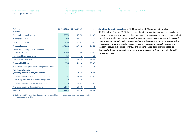| Interim consolidated financial statements |
|-------------------------------------------|
| (condensed)                               |

#### **[3](#page-22-0)** [Financial calendar 2021 / 2022](#page-22-0)

| <b>Net debt</b><br>$\epsilon$ million                                   | 30 Sep 2021 | 31 Dec 2020 | $+/-$    |
|-------------------------------------------------------------------------|-------------|-------------|----------|
| Cash and cash equivalents                                               | 3,576       | 4.774       | $-1,198$ |
| Marketable securities <sup>1</sup>                                      | 3,799       | 4,517       | $-718$   |
| Other financial assets                                                  | 10,453      | 2,507       | 7,946    |
| <b>Financial assets</b>                                                 | 17,828      | 11,798      | 6,030    |
| Bonds, other notes payable, bank debt,<br>commercial paper              | 4,300       | 2,160       | 2,140    |
| Hedging of bond currency risk                                           | 15          | 31          | $-16$    |
| Other financial liabilities                                             | 7,621       | 3,038       | 4,583    |
| <b>Financial liabilities</b>                                            | 11,936      | 5,229       | 6,707    |
| Minus 50% of the hybrid capital recognised as debt                      | $-283$      | $-278$      | $-5$     |
| <b>Net financial assets</b><br>(including correction of hybrid capital) | 6,175       | 6,847       | $-672$   |
| Provisions for pensions and similar obligations                         | 2,131       | 3,864       | $-1,733$ |
| Surplus of plan assets over benefit obligations                         | $-348$      | $-172$      | $-176$   |
| Provisions for nuclear waste management                                 | 6,119       | 6,451       | $-332$   |
| Provisions for dismantling wind farms                                   | 1,139       | 1,136       | 3        |
| <b>Net debt</b>                                                         | 2,866       | 4,432       | $-1,566$ |

1 Excludes our 15 % stake in E.ON because our mining provisions and the assets covering them are disregarded when calculating net debt.

**Significant drop in net debt.** As of 30 September 2021, our net debt totalled €2,866 million. This was €1,566 million less than the amount on our books at the close of last year. The high level of free cash flow was the main reason. Another debt-reducing effect came from a market-driven increase in the discount rates we use to calculate the present value of pension obligations because it resulted in a decline in provisions for pensions. The extraordinary funding of the plan assets we use to meet pension obligations did not affect net debt because this caused our provisions for pensions and our financial assets to decrease to the same extent. Conversely, profit distributions of €694 million had a debtincreasing effect.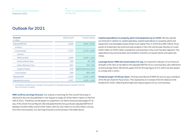#### **[2](#page-17-0)** [Interim consolidated financial statements](#page-17-0)  [\(condensed\)](#page-17-0)

#### **[3](#page-22-0)** [Financial calendar 2021 / 2022](#page-22-0)

## <span id="page-16-0"></span>Outlook for 2021

| <b>Forecast</b><br>$\epsilon$ million | $2020$ actual <sup>1</sup> | Current outlook         |
|---------------------------------------|----------------------------|-------------------------|
| <b>Adjusted EBITDA</b>                | 3,286                      | $3,000 - 3,400$         |
| of which:                             |                            |                         |
| Core business                         | 2,727                      | $2,150 - 2,550$         |
| of which:                             |                            |                         |
| Offshore Wind                         | 1,069                      | $1,050 - 1,250$         |
| Onshore Wind / Solar                  | 523                        | $50 - 250$              |
| Hydro / Biomass / Gas                 | 621                        | $500 - 600$             |
| Supply & Trading                      | 539                        | Significantly above 350 |
| Coal/Nuclear                          | 559                        | $800 - 900$             |
| <b>Adjusted EBIT</b>                  | 1,823                      | $1,500 - 1,900$         |
| Adjusted net income                   | 1,257                      | $1,050 - 1,400$         |

1 Some figures restated due to a change in the recognition of renewable energy tax benefits in the USA (see commentary on [page 6\)](#page-5-0).

**RWE confirms earnings forecast.** Our outlook on earnings for the current fiscal year is identical to the one we published in mid-August on page 25 of the interim report on the first half of 2021. Therefore, we still expect to outperform our March forecast (see pages 67 et seq. of the 2020 Annual Report). We anticipate that the Group will post adjusted EBITDA of between €3,000 million and €3,400 million, with €2,150 million to €2,550 million coming from the core business. Our earnings forecast is summarised in the table above.

**Capital expenditure on property, plant and equipment up on 2020.** We also uphold our forecast in relation to capital spending. Capital expenditure on property, plant and equipment and intangible assets will be much higher than in 2020 (€2,285 million). Focal points of investment are wind and solar projects in the USA and Europe. We plan to invest €200 million to €300 million outside the core business in the Coal / Nuclear segment. This expenditure has primarily been earmarked to maintain our power plants and opencast mines.

**Leverage factor: RWE will remain below 3.0 cap.** An important indicator of our financial strength is the ratio of net debt to the adjusted EBITDA of our core business, also referred to as the leverage factor. We set the upper limit for this key figure at 3.0, which we also expect to comply with in 2021.

**Dividend target: €0.90 per share.** The Executive Board of RWE AG aims to pay a dividend of €0.90 per share for fiscal 2021. This represents an increase of €0.05 relative to the dividend for 2020, reflecting the bright earnings prospects of our core business.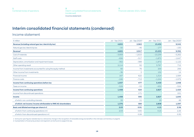**2** Interim consolidated financial statements (condensed) Income statement

**[3](#page-22-0)** [Financial calendar 2021 / 2022](#page-22-0)

# <span id="page-17-0"></span>Interim consolidated financial statements (condensed)

### Income statement

| $\epsilon$ million                                                | Jul - Sep 2021 | Jul - Sep $20201$ | Jan - Sep 2021 | Jan - Sep 2020 <sup>1</sup> |
|-------------------------------------------------------------------|----------------|-------------------|----------------|-----------------------------|
| Revenue (including natural gas tax / electricity tax)             | 4,855          | 2,963             | 13,430         | 9,542                       |
| Natural gas tax/electricity tax                                   | $-50$          | $-46$             | $-177$         | $-150$                      |
| Revenue <sup>2</sup>                                              | 4,805          | 2,917             | 13,253         | 9,392                       |
| Cost of materials                                                 | $-3,909$       | $-1,615$          | $-10,239$      | $-5,262$                    |
| Staff costs                                                       | $-656$         | $-517$            | $-1,872$       | $-1,647$                    |
| Depreciation, amortisation and impairment losses                  | $-362$         | $-388$            | $-1,872$       | $-1,122$                    |
| Other operating result                                            | 2,114          | 92                | 3,767          | 712                         |
| Income from investments accounted for using the equity method     | 60             | 76                | 200            | 256                         |
| Other income from investments                                     | $-36$          | 3                 | 152            | 14                          |
| <b>Financial income</b>                                           | 167            | 622               | 1,314          | 1,584                       |
| Finance costs                                                     | $-246$         | $-713$            | $-1,244$       | $-1,979$                    |
| Income from continuing operations before tax                      | 1,937          | 477               | 3,459          | 1,948                       |
| Taxes on income                                                   | $-529$         | $-53$             | $-632$         | $-524$                      |
| <b>Income from continuing operations</b>                          | 1,408          | 424               | 2,827          | 1,424                       |
| Income from discontinued operations                               |                | 171               |                | 221                         |
| <b>Income</b>                                                     | 1,408          | 595               | 2,827          | 1,645                       |
| of which: non-controlling interests                               | 32             | 11                | 19             | 48                          |
| of which: net income / income attributable to RWE AG shareholders | 1,376          | 584               | 2,808          | 1,597                       |
| Basic and diluted earnings per share in $\epsilon$                | 2.03           | 0.91              | 4.15           | 2.56                        |
| of which: from continuing operations in €                         | 2.03           | 0.65              | 4.15           | 2.26                        |
| of which: from discontinued operations in €                       |                | 0.26              |                | 0.30                        |

1 Some prior-year figures restated due to a retroactive change in the recognition of renewable energy tax benefits in the USA (see commentary on [page 6](#page-5-0)).

2 A presentation of revenue by product and segment can be found on [pages 8](#page-7-0) et seq.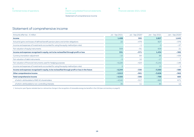**[2](#page-17-0)** [Interim consolidated financial statements](#page-17-0)  [\(condensed\)](#page-17-0) Statement of comprehensive income

**[3](#page-22-0)** [Financial calendar 2021 / 2022](#page-22-0)

## <span id="page-18-0"></span>Statement of comprehensive income

| Amounts after tax $- \epsilon$ million                                                            | Jul - Sep 2021 | Jul - Sep $20201$ | Jan - Sep 2021 | Jan - Sep 2020 <sup>1</sup> |
|---------------------------------------------------------------------------------------------------|----------------|-------------------|----------------|-----------------------------|
| <b>Income</b>                                                                                     | 1,408          | 595               | 2,827          | 1,645                       |
| Actuarial gains and losses of defined benefit pension plans and similar obligations               | 22             | $-479$            | 827            | $-376$                      |
| Income and expenses of investments accounted for using the equity method (pro rata)               |                | $-1$              | $-2$           | $-27$                       |
| Fair valuation of equity instruments                                                              | 309            | $-91$             | 609            | 21                          |
| Income and expenses recognised in equity, not to be reclassified through profit or loss           | 331            | $-571$            | 1,434          | $-382$                      |
| Currency translation adjustment                                                                   | $-15$          | 84                | 86             | $-439$                      |
| Fair valuation of debt instruments                                                                | $-5$           | 10                | $-17$          | $\overline{7}$              |
| Fair valuation of financial instruments used for hedging purposes                                 | $-6,226$       | $-424$            | $-5,142$       | $-146$                      |
| Income and expenses of investments accounted for using the equity method (pro rata)               |                |                   | 13             | $-2$                        |
| Income and expenses recognised in equity, to be reclassified through profit or loss in the future | $-6,244$       | $-330$            | $-5,060$       | $-580$                      |
| Other comprehensive income                                                                        | $-5,913$       | $-901$            | $-3,626$       | $-962$                      |
| <b>Total comprehensive income</b>                                                                 | $-4,505$       | $-306$            | $-799$         | 683                         |
| of which: attributable to RWE AG shareholders                                                     | $-4,540$       | $-317$            | $-883$         | 671                         |
| of which: attributable to non-controlling interests                                               | 35             | 11                | 84             | 12                          |

1 Some prior-year figures restated due to a retroactive change in the recognition of renewable energy tax benefits in the USA (see commentary on [page 6](#page-5-0)).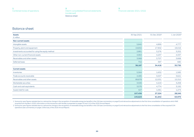**[2](#page-17-0)** [Interim consolidated financial statements](#page-17-0)  [\(condensed\)](#page-17-0) Balance sheet

**[3](#page-22-0)** [Financial calendar 2021 / 2022](#page-22-0)

## <span id="page-19-0"></span>Balance sheet

| <b>Assets</b>                                     | 30 Sep 2021 | 31 Dec 2020 <sup>1</sup> | 1 Jan 2020 <sup>2</sup> |
|---------------------------------------------------|-------------|--------------------------|-------------------------|
| $\epsilon$ million                                |             |                          |                         |
| <b>Non-current assets</b>                         |             |                          |                         |
| Intangible assets                                 | 5,840       | 4,899                    | 4,777                   |
| Property, plant and equipment                     | 19,832      | 17,902                   | 19,016                  |
| Investments accounted for using the equity method | 2,881       | 3,276                    | 3,252                   |
| Other non-current financial assets                | 4,964       | 4,237                    | 4,337                   |
| Receivables and other assets                      | 3,968       | 3,707                    | 3,668                   |
| Deferred taxes                                    | 702         | 397                      | 680                     |
|                                                   | 38,187      | 34,418                   | 35,730                  |
| <b>Current assets</b>                             |             |                          |                         |
| Inventories                                       | 5,564       | 1,632                    | 1,585                   |
| Trade accounts receivable                         | 4,485       | 3,007                    | 3,621                   |
| Receivables and other assets                      | 89,878      | 12,531                   | 15,310                  |
| Marketable securities                             | 3,506       | 4,219                    | 3,258                   |
| Cash and cash equivalents                         | 3,576       | 4,774                    | 3,192                   |
| Assets held for sale                              | 427         | 1,061                    | 1,274                   |
|                                                   | 107,436     | 27,224                   | 28,240                  |
|                                                   | 145,623     | 61,642                   | 63,970                  |

1 Some prior-year figures restated due to a retroactive change in the recognition of renewable energy tax benefits in the USA (see commentary on [page 6](#page-5-0)) and retroactive adjustments to the first-time consolidation of operat acquired from Nordex in 2020; information on the transaction with Nordex is presented on pages 43 and 110 of the 2020 Annual Report.

2 Some prior-year figures restated due to a retroactive change in the recognition of renewable energy tax benefits in the USA (see commentary on [page 6](#page-5-0)) and retroactive adjustments to the first-time consolidation of the ac operations (see commentary on pages 108 et seq. of the 2020 Annual Report).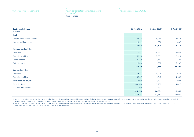**[2](#page-17-0)** [Interim consolidated financial statements](#page-17-0)  [\(condensed\)](#page-17-0) Balance sheet

**[3](#page-22-0)** [Financial calendar 2021 / 2022](#page-22-0)

| <b>Equity and liabilities</b>  | 30 Sep 2021 | 31 Dec 2020 <sup>1</sup> | 1 Jan 2020 <sup>2</sup> |
|--------------------------------|-------------|--------------------------|-------------------------|
| $\epsilon$ million             |             |                          |                         |
| <b>Equity</b>                  |             |                          |                         |
| RWE AG shareholders' interest  | 14,836      | 16,916                   | 16,617                  |
| Non-controlling interests      | 1,822       | 790                      | 502                     |
|                                | 16,658      | 17,706                   | 17,119                  |
| <b>Non-current liabilities</b> |             |                          |                         |
| Provisions                     | 17,087      | 19,470                   | 18,937                  |
| <b>Financial liabilities</b>   | 5,214       | 3,951                    | 3,924                   |
| Other liabilities              | 2,279       | 2,152                    | 2,144                   |
| Deferred taxes                 | 1,249       | 1,862                    | 2,197                   |
|                                | 25,829      | 27,435                   | 27,202                  |
| <b>Current liabilities</b>     |             |                          |                         |
| Provisions                     | 3,531       | 3,004                    | 2,638                   |
| <b>Financial liabilities</b>   | 6,707       | 1,247                    | 1,689                   |
| Trade accounts payable         | 3,698       | 2,387                    | 2,987                   |
| Other liabilities              | 89,108      | 9,282                    | 11,825                  |
| Liabilities held for sale      | 92          | 581                      | 510                     |
|                                | 103,136     | 16,501                   | 19,649                  |
|                                | 145,623     | 61,642                   | 63,970                  |

1 Some prior-year figures restated due to a retroactive change in the recognition of renewable energy tax benefits in the USA (see commentary on [page 6](#page-5-0)) and retroactive adjustments to the first-time consolidation of operat acquired from Nordex in 2020; information on the transaction with Nordex is presented on pages 43 and 110 of the 2020 Annual Report.

2 Some prior-year figures restated due to a retroactive change in the recognition of renewable energy tax benefits in the USA (see commentary on [page 6](#page-5-0)) and retroactive adjustments to the first-time consolidation of the ac operations (see commentary on pages 108 et seq. of the 2020 Annual Report).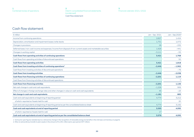**[2](#page-17-0)** [Interim consolidated financial statements](#page-17-0)  [\(condensed\)](#page-17-0) Cash flow statement

## <span id="page-21-0"></span>Cash flow statement

| $\epsilon$ million                                                                                                   | Jan - Sep 2021 | Jan - Sep 2020 <sup>1</sup> |
|----------------------------------------------------------------------------------------------------------------------|----------------|-----------------------------|
| Income from continuing operations                                                                                    | 2,827          | 1,424                       |
| Depreciation, amortisation and impairment losses / write-backs                                                       | 1,751          | 1.072                       |
| Changes in provisions                                                                                                | 28             | $-232$                      |
| Deferred taxes / non-cash income and expenses / income from disposal of non-current assets and marketable securities | 1,926          | $-441$                      |
| Changes in working capital                                                                                           | $-3,111$       | $-55$                       |
| Cash flows from operating activities of continuing operations                                                        | 3,421          | 1,768                       |
| Cash flows from operating activities of discontinued operations                                                      |                | 50                          |
| <b>Cash flows from operating activities</b>                                                                          | 3,421          | 1,818                       |
| Cash flows from investing activities of continuing operations <sup>2</sup>                                           | $-2,446$       | $-1,962$                    |
| Cash flows from investing activities of discontinued operations                                                      |                | $-76$                       |
| <b>Cash flows from investing activities</b>                                                                          | $-2,446$       | $-2,038$                    |
| Cash flows from financing activities of continuing operations                                                        | $-2,201$       | 1,119                       |
| Cash flows from financing activities of discontinued operations                                                      |                | $\overline{7}$              |
| <b>Cash flows from financing activities</b>                                                                          | $-2,201$       | 1,126                       |
| Net cash change in cash and cash equivalents                                                                         | $-1,226$       | 906                         |
| Effect of changes in foreign exchange rates and other changes in value on cash and cash equivalents                  | 45             | $-23$                       |
| Net change in cash and cash equivalents                                                                              | $-1,181$       | 883                         |
| Cash and cash equivalents at beginning of reporting period                                                           | 4,774          | 3,212                       |
| of which: reported as 'Assets held for sale'                                                                         |                | 20                          |
| Cash and cash equivalents at beginning of reporting period as per the consolidated balance sheet                     | 4,774          | 3,192                       |
| Cash and cash equivalents at end of reporting period                                                                 | 3,593          | 4,095                       |
| of which: reported as 'Assets held for sale'                                                                         | 17             |                             |
| Cash and cash equivalents at end of reporting period as per the consolidated balance sheet                           | 3,576          | 4,095                       |

1 Some prior-year figures restated due to a retroactive change in the recognition of renewable energy tax benefits in the USA (see commentary on [page 6](#page-5-0)).

2 After an extraordinary transfer to plan assets in the amount of €1,091 million (prior-year period: €97 million).